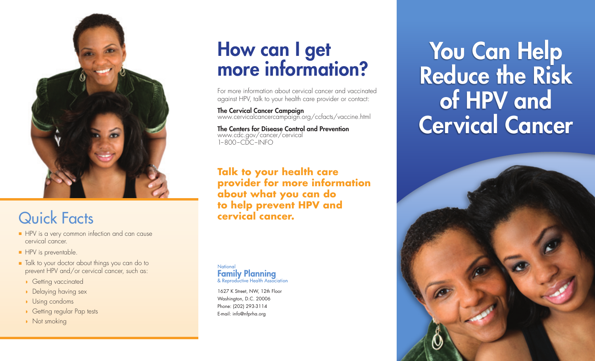

### Quick Facts

- HPV is a very common infection and can cause cervical cancer.
- HPV is preventable.
- Talk to your doctor about things you can do to prevent HPV and/or cervical cancer, such as:
	- ◗ Getting vaccinated
	- ◗ Delaying having sex
	- ◗ Using condoms
	- Getting regular Pap tests
	- ◗ Not smoking

## How can I get more information?

For more information about cervical cancer and vaccinated against HPV, talk to your health care provider or contact:

The Cervical Cancer Campaign www.cervicalcancercampaign.org/ccfacts/vaccine.html

The Centers for Disease Control and Prevention www.cdc.gov/cancer/cervical  $1-800$ –CDC–INFO

**Talk to your health care provider for more information about what you can do to help prevent HPV and cervical cancer.**

National **Family Planning**<br>& Reproductive Health Association

1627 K Street, NW, 12th Floor Washington, D.C. 20006 Phone: (202) 293-3114 E-mail: info@nfprha.org

You Can Help Reduce the Risk of HPV and Cervical Cancer